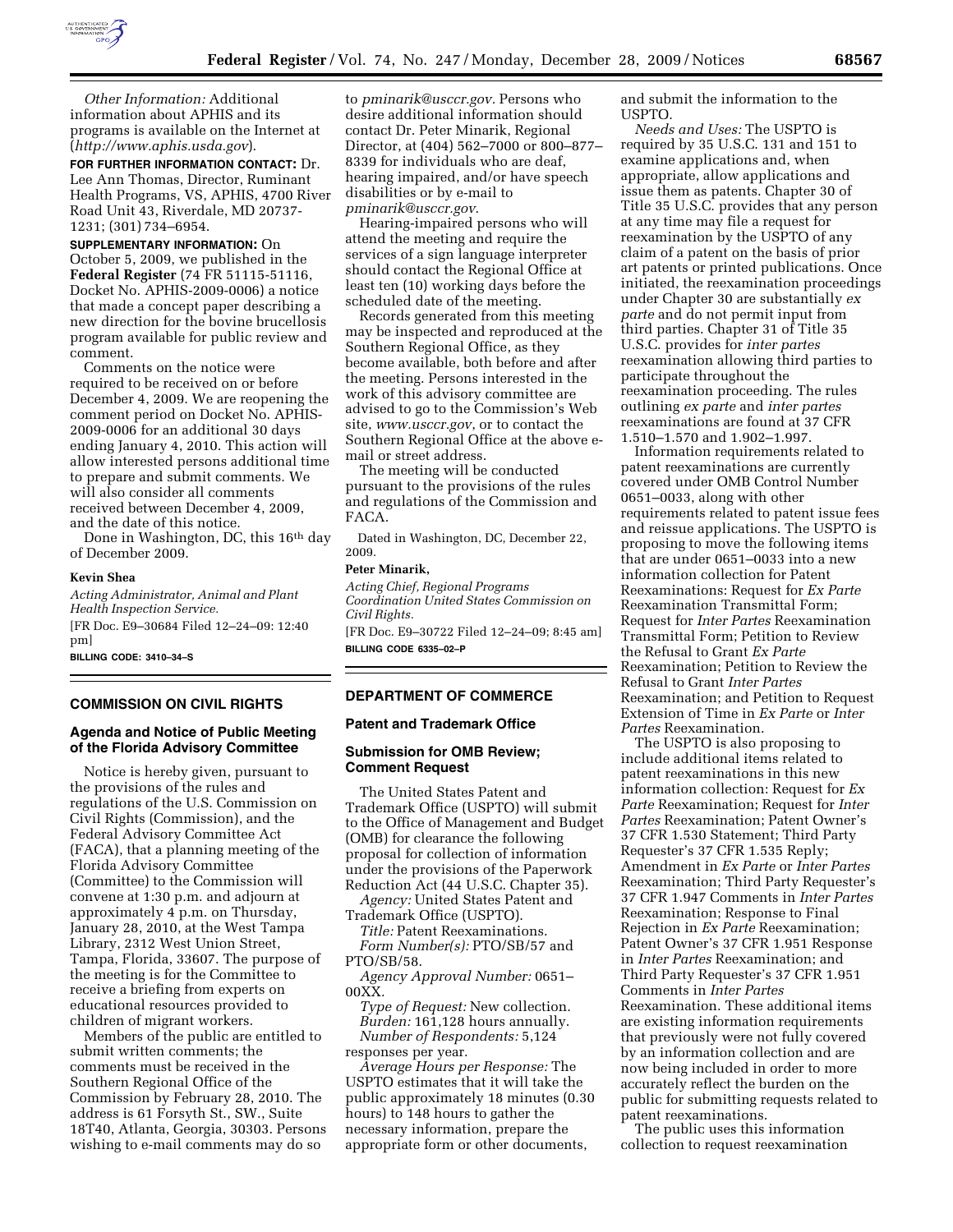

*Other Information:* Additional information about APHIS and its programs is available on the Internet at (*http://www.aphis.usda.gov*).

**FOR FURTHER INFORMATION CONTACT:** Dr. Lee Ann Thomas, Director, Ruminant Health Programs, VS, APHIS, 4700 River Road Unit 43, Riverdale, MD 20737- 1231; (301) 734–6954.

**SUPPLEMENTARY INFORMATION:** On October 5, 2009, we published in the **Federal Register** (74 FR 51115-51116, Docket No. APHIS-2009-0006) a notice that made a concept paper describing a new direction for the bovine brucellosis program available for public review and comment.

Comments on the notice were required to be received on or before December 4, 2009. We are reopening the comment period on Docket No. APHIS-2009-0006 for an additional 30 days ending January 4, 2010. This action will allow interested persons additional time to prepare and submit comments. We will also consider all comments received between December 4, 2009, and the date of this notice.

Done in Washington, DC, this 16<sup>th</sup> day of December 2009.

#### **Kevin Shea**

*Acting Administrator, Animal and Plant Health Inspection Service.*  [FR Doc. E9–30684 Filed 12–24–09: 12:40 pm]

**BILLING CODE: 3410–34–S** 

### **COMMISSION ON CIVIL RIGHTS**

# **Agenda and Notice of Public Meeting of the Florida Advisory Committee**

Notice is hereby given, pursuant to the provisions of the rules and regulations of the U.S. Commission on Civil Rights (Commission), and the Federal Advisory Committee Act (FACA), that a planning meeting of the Florida Advisory Committee (Committee) to the Commission will convene at 1:30 p.m. and adjourn at approximately 4 p.m. on Thursday, January 28, 2010, at the West Tampa Library, 2312 West Union Street, Tampa, Florida, 33607. The purpose of the meeting is for the Committee to receive a briefing from experts on educational resources provided to children of migrant workers.

Members of the public are entitled to submit written comments; the comments must be received in the Southern Regional Office of the Commission by February 28, 2010. The address is 61 Forsyth St., SW., Suite 18T40, Atlanta, Georgia, 30303. Persons wishing to e-mail comments may do so

to *pminarik@usccr.gov.* Persons who desire additional information should contact Dr. Peter Minarik, Regional Director, at (404) 562–7000 or 800–877– 8339 for individuals who are deaf, hearing impaired, and/or have speech disabilities or by e-mail to *pminarik@usccr.gov*.

Hearing-impaired persons who will attend the meeting and require the services of a sign language interpreter should contact the Regional Office at least ten (10) working days before the scheduled date of the meeting.

Records generated from this meeting may be inspected and reproduced at the Southern Regional Office, as they become available, both before and after the meeting. Persons interested in the work of this advisory committee are advised to go to the Commission's Web site, *www.usccr.gov*, or to contact the Southern Regional Office at the above email or street address.

The meeting will be conducted pursuant to the provisions of the rules and regulations of the Commission and FACA.

Dated in Washington, DC, December 22, 2009.

### **Peter Minarik,**

*Acting Chief, Regional Programs Coordination United States Commission on Civil Rights.* 

[FR Doc. E9–30722 Filed 12–24–09; 8:45 am] **BILLING CODE 6335–02–P** 

## **DEPARTMENT OF COMMERCE**

## **Patent and Trademark Office**

# **Submission for OMB Review; Comment Request**

The United States Patent and Trademark Office (USPTO) will submit to the Office of Management and Budget (OMB) for clearance the following proposal for collection of information under the provisions of the Paperwork Reduction Act (44 U.S.C. Chapter 35).

*Agency:* United States Patent and Trademark Office (USPTO).

*Title:* Patent Reexaminations. *Form Number(s):* PTO/SB/57 and PTO/SB/58.

*Agency Approval Number:* 0651– 00XX.

*Type of Request:* New collection. *Burden:* 161,128 hours annually.

*Number of Respondents:* 5,124 responses per year. *Average Hours per Response:* The

USPTO estimates that it will take the public approximately 18 minutes (0.30 hours) to 148 hours to gather the necessary information, prepare the appropriate form or other documents,

and submit the information to the USPTO.

*Needs and Uses:* The USPTO is required by 35 U.S.C. 131 and 151 to examine applications and, when appropriate, allow applications and issue them as patents. Chapter 30 of Title 35 U.S.C. provides that any person at any time may file a request for reexamination by the USPTO of any claim of a patent on the basis of prior art patents or printed publications. Once initiated, the reexamination proceedings under Chapter 30 are substantially *ex parte* and do not permit input from third parties. Chapter 31 of Title 35 U.S.C. provides for *inter partes*  reexamination allowing third parties to participate throughout the reexamination proceeding. The rules outlining *ex parte* and *inter partes*  reexaminations are found at 37 CFR 1.510–1.570 and 1.902–1.997.

Information requirements related to patent reexaminations are currently covered under OMB Control Number 0651–0033, along with other requirements related to patent issue fees and reissue applications. The USPTO is proposing to move the following items that are under 0651–0033 into a new information collection for Patent Reexaminations: Request for *Ex Parte*  Reexamination Transmittal Form; Request for *Inter Partes* Reexamination Transmittal Form; Petition to Review the Refusal to Grant *Ex Parte*  Reexamination; Petition to Review the Refusal to Grant *Inter Partes*  Reexamination; and Petition to Request Extension of Time in *Ex Parte* or *Inter Partes* Reexamination.

The USPTO is also proposing to include additional items related to patent reexaminations in this new information collection: Request for *Ex Parte* Reexamination; Request for *Inter Partes* Reexamination; Patent Owner's 37 CFR 1.530 Statement; Third Party Requester's 37 CFR 1.535 Reply; Amendment in *Ex Parte* or *Inter Partes*  Reexamination; Third Party Requester's 37 CFR 1.947 Comments in *Inter Partes*  Reexamination; Response to Final Rejection in *Ex Parte* Reexamination; Patent Owner's 37 CFR 1.951 Response in *Inter Partes* Reexamination; and Third Party Requester's 37 CFR 1.951 Comments in *Inter Partes*  Reexamination. These additional items are existing information requirements that previously were not fully covered by an information collection and are now being included in order to more accurately reflect the burden on the public for submitting requests related to patent reexaminations.

The public uses this information collection to request reexamination